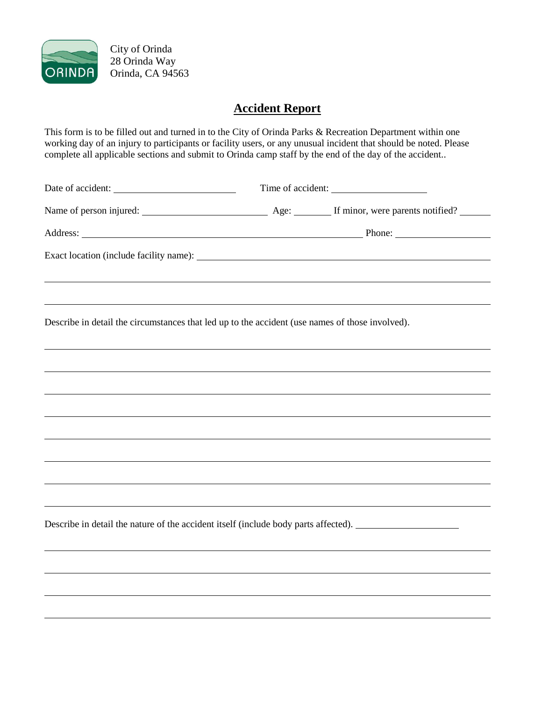

City of Orinda 28 Orinda Way Orinda, CA 94563

## **Accident Report**

This form is to be filled out and turned in to the City of Orinda Parks & Recreation Department within one working day of an injury to participants or facility users, or any unusual incident that should be noted. Please complete all applicable sections and submit to Orinda camp staff by the end of the day of the accident..

Date of accident: Time of accident:

Name of person injured: Age: If minor, were parents notified?

Address: Phone:

Exact location (include facility name):

Describe in detail the circumstances that led up to the accident (use names of those involved).

Describe in detail the nature of the accident itself (include body parts affected).